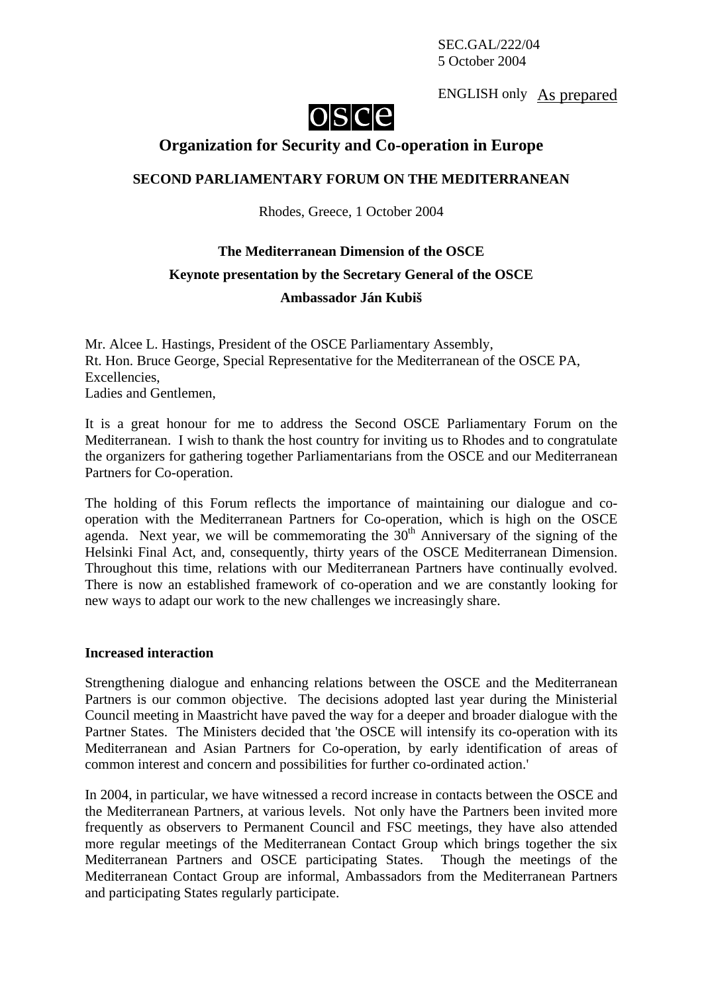SEC.GAL/222/04 5 October 2004

ENGLISH only As prepared



## **Organization for Security and Co-operation in Europe**

### **SECOND PARLIAMENTARY FORUM ON THE MEDITERRANEAN**

Rhodes, Greece, 1 October 2004

# **The Mediterranean Dimension of the OSCE Keynote presentation by the Secretary General of the OSCE Ambassador Ján Kubiš**

Mr. Alcee L. Hastings, President of the OSCE Parliamentary Assembly, Rt. Hon. Bruce George, Special Representative for the Mediterranean of the OSCE PA, Excellencies, Ladies and Gentlemen,

It is a great honour for me to address the Second OSCE Parliamentary Forum on the Mediterranean. I wish to thank the host country for inviting us to Rhodes and to congratulate the organizers for gathering together Parliamentarians from the OSCE and our Mediterranean Partners for Co-operation.

The holding of this Forum reflects the importance of maintaining our dialogue and cooperation with the Mediterranean Partners for Co-operation, which is high on the OSCE agenda. Next year, we will be commemorating the  $30<sup>th</sup>$  Anniversary of the signing of the Helsinki Final Act, and, consequently, thirty years of the OSCE Mediterranean Dimension. Throughout this time, relations with our Mediterranean Partners have continually evolved. There is now an established framework of co-operation and we are constantly looking for new ways to adapt our work to the new challenges we increasingly share.

#### **Increased interaction**

Strengthening dialogue and enhancing relations between the OSCE and the Mediterranean Partners is our common objective. The decisions adopted last year during the Ministerial Council meeting in Maastricht have paved the way for a deeper and broader dialogue with the Partner States. The Ministers decided that 'the OSCE will intensify its co-operation with its Mediterranean and Asian Partners for Co-operation, by early identification of areas of common interest and concern and possibilities for further co-ordinated action.'

In 2004, in particular, we have witnessed a record increase in contacts between the OSCE and the Mediterranean Partners, at various levels. Not only have the Partners been invited more frequently as observers to Permanent Council and FSC meetings, they have also attended more regular meetings of the Mediterranean Contact Group which brings together the six Mediterranean Partners and OSCE participating States. Though the meetings of the Mediterranean Contact Group are informal, Ambassadors from the Mediterranean Partners and participating States regularly participate.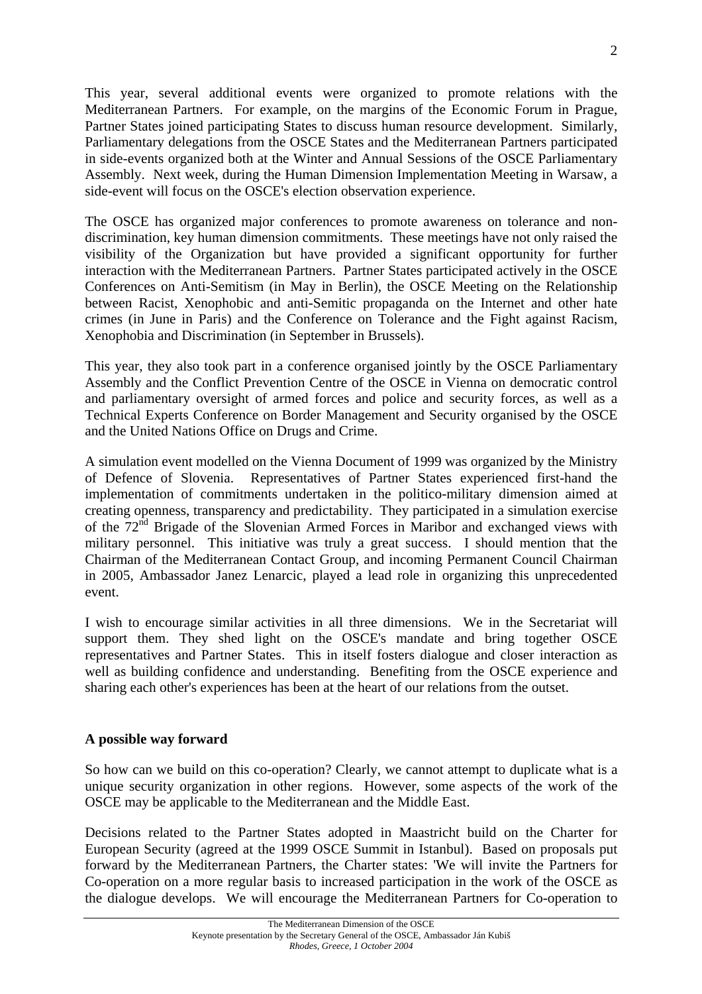This year, several additional events were organized to promote relations with the Mediterranean Partners. For example, on the margins of the Economic Forum in Prague, Partner States joined participating States to discuss human resource development. Similarly, Parliamentary delegations from the OSCE States and the Mediterranean Partners participated in side-events organized both at the Winter and Annual Sessions of the OSCE Parliamentary Assembly. Next week, during the Human Dimension Implementation Meeting in Warsaw, a side-event will focus on the OSCE's election observation experience.

The OSCE has organized major conferences to promote awareness on tolerance and nondiscrimination, key human dimension commitments. These meetings have not only raised the visibility of the Organization but have provided a significant opportunity for further interaction with the Mediterranean Partners. Partner States participated actively in the OSCE Conferences on Anti-Semitism (in May in Berlin), the OSCE Meeting on the Relationship between Racist, Xenophobic and anti-Semitic propaganda on the Internet and other hate crimes (in June in Paris) and the Conference on Tolerance and the Fight against Racism, Xenophobia and Discrimination (in September in Brussels).

This year, they also took part in a conference organised jointly by the OSCE Parliamentary Assembly and the Conflict Prevention Centre of the OSCE in Vienna on democratic control and parliamentary oversight of armed forces and police and security forces, as well as a Technical Experts Conference on Border Management and Security organised by the OSCE and the United Nations Office on Drugs and Crime.

A simulation event modelled on the Vienna Document of 1999 was organized by the Ministry of Defence of Slovenia. Representatives of Partner States experienced first-hand the implementation of commitments undertaken in the politico-military dimension aimed at creating openness, transparency and predictability. They participated in a simulation exercise of the  $72<sup>nd</sup>$  Brigade of the Slovenian Armed Forces in Maribor and exchanged views with military personnel. This initiative was truly a great success. I should mention that the Chairman of the Mediterranean Contact Group, and incoming Permanent Council Chairman in 2005, Ambassador Janez Lenarcic, played a lead role in organizing this unprecedented event.

I wish to encourage similar activities in all three dimensions. We in the Secretariat will support them. They shed light on the OSCE's mandate and bring together OSCE representatives and Partner States. This in itself fosters dialogue and closer interaction as well as building confidence and understanding. Benefiting from the OSCE experience and sharing each other's experiences has been at the heart of our relations from the outset.

## **A possible way forward**

So how can we build on this co-operation? Clearly, we cannot attempt to duplicate what is a unique security organization in other regions. However, some aspects of the work of the OSCE may be applicable to the Mediterranean and the Middle East.

Decisions related to the Partner States adopted in Maastricht build on the Charter for European Security (agreed at the 1999 OSCE Summit in Istanbul). Based on proposals put forward by the Mediterranean Partners, the Charter states: 'We will invite the Partners for Co-operation on a more regular basis to increased participation in the work of the OSCE as the dialogue develops. We will encourage the Mediterranean Partners for Co-operation to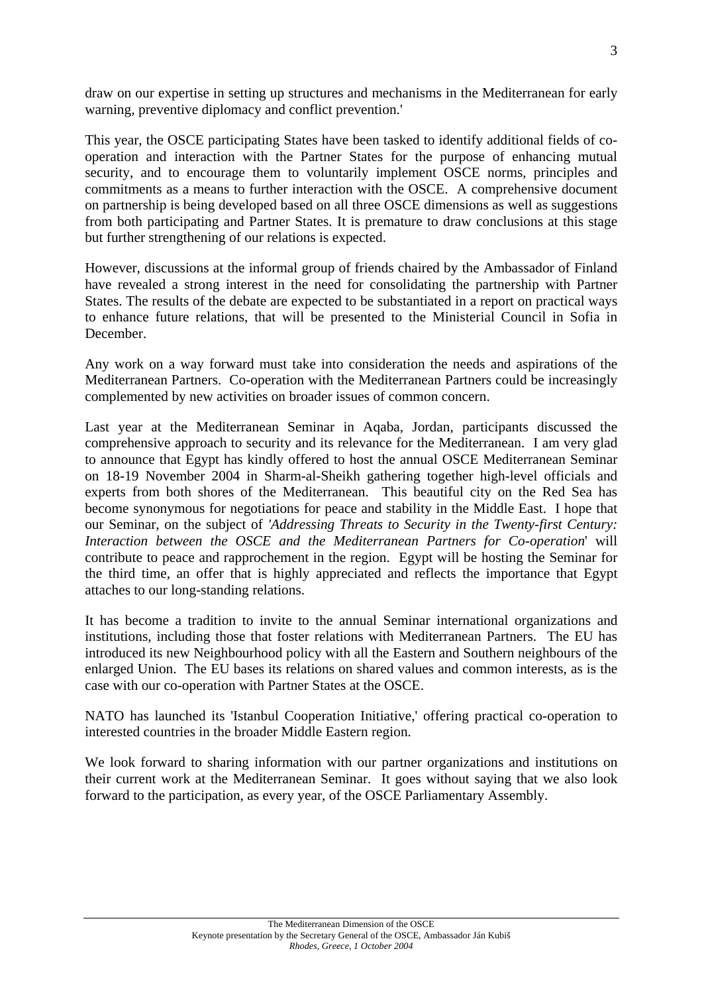draw on our expertise in setting up structures and mechanisms in the Mediterranean for early warning, preventive diplomacy and conflict prevention.'

This year, the OSCE participating States have been tasked to identify additional fields of cooperation and interaction with the Partner States for the purpose of enhancing mutual security, and to encourage them to voluntarily implement OSCE norms, principles and commitments as a means to further interaction with the OSCE. A comprehensive document on partnership is being developed based on all three OSCE dimensions as well as suggestions from both participating and Partner States. It is premature to draw conclusions at this stage but further strengthening of our relations is expected.

However, discussions at the informal group of friends chaired by the Ambassador of Finland have revealed a strong interest in the need for consolidating the partnership with Partner States. The results of the debate are expected to be substantiated in a report on practical ways to enhance future relations, that will be presented to the Ministerial Council in Sofia in December.

Any work on a way forward must take into consideration the needs and aspirations of the Mediterranean Partners. Co-operation with the Mediterranean Partners could be increasingly complemented by new activities on broader issues of common concern.

Last year at the Mediterranean Seminar in Aqaba, Jordan, participants discussed the comprehensive approach to security and its relevance for the Mediterranean. I am very glad to announce that Egypt has kindly offered to host the annual OSCE Mediterranean Seminar on 18-19 November 2004 in Sharm-al-Sheikh gathering together high-level officials and experts from both shores of the Mediterranean. This beautiful city on the Red Sea has become synonymous for negotiations for peace and stability in the Middle East. I hope that our Seminar, on the subject of *'Addressing Threats to Security in the Twenty-first Century: Interaction between the OSCE and the Mediterranean Partners for Co-operation*' will contribute to peace and rapprochement in the region. Egypt will be hosting the Seminar for the third time, an offer that is highly appreciated and reflects the importance that Egypt attaches to our long-standing relations.

It has become a tradition to invite to the annual Seminar international organizations and institutions, including those that foster relations with Mediterranean Partners. The EU has introduced its new Neighbourhood policy with all the Eastern and Southern neighbours of the enlarged Union. The EU bases its relations on shared values and common interests, as is the case with our co-operation with Partner States at the OSCE.

NATO has launched its 'Istanbul Cooperation Initiative,' offering practical co-operation to interested countries in the broader Middle Eastern region.

We look forward to sharing information with our partner organizations and institutions on their current work at the Mediterranean Seminar. It goes without saying that we also look forward to the participation, as every year, of the OSCE Parliamentary Assembly.